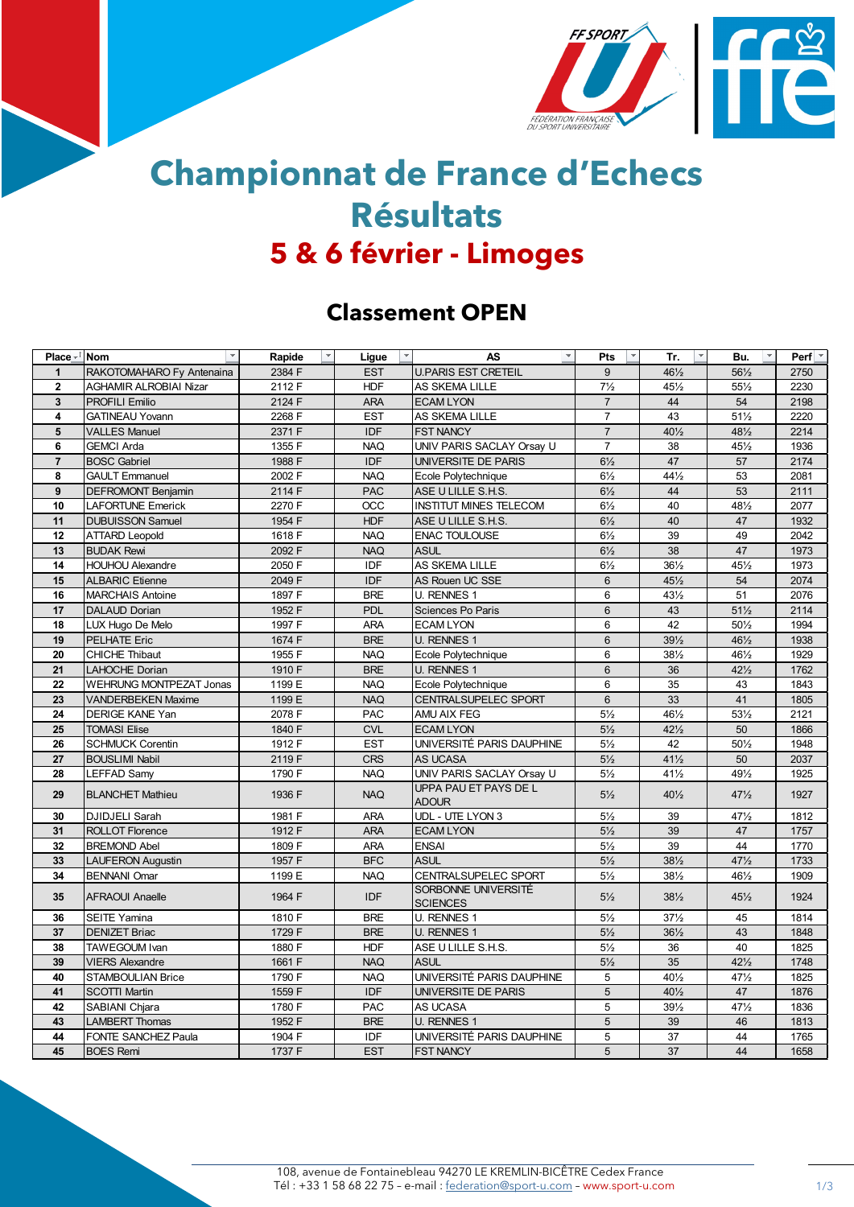

## **Championnat de France d'Echecs Résultats 5 & 6 février - Limoges**

## **Classement OPEN**

| Place $\overline{\mathbf{r}}$ Nom | $\mathbf{v}$                   | Rapide<br>$\overline{\phantom{a}}$ | Ligue      | $\mathbf{v}$<br><b>AS</b>              | Pts<br>$\overline{\phantom{a}}$ | $\overline{\mathbf{v}}$<br>Tr. | Bu.             | Perf $\vert \cdot \vert$ |
|-----------------------------------|--------------------------------|------------------------------------|------------|----------------------------------------|---------------------------------|--------------------------------|-----------------|--------------------------|
| $\mathbf{1}$                      | RAKOTOMAHARO Fy Antenaina      | 2384 F                             | <b>EST</b> | <b>U.PARIS EST CRETEIL</b>             | 9                               | $46\frac{1}{2}$                | $56\frac{1}{2}$ | 2750                     |
| $\overline{2}$                    | <b>AGHAMIR ALROBIAI Nizar</b>  | 2112 F                             | <b>HDF</b> | AS SKEMA LILLE                         | $7\frac{1}{2}$                  | 451/2                          | 551/2           | 2230                     |
| $\overline{\mathbf{3}}$           | <b>PROFILI Emilio</b>          | 2124 F                             | <b>ARA</b> | <b>ECAM LYON</b>                       | $\overline{7}$                  | 44                             | 54              | 2198                     |
| 4                                 | <b>GATINEAU Yovann</b>         | 2268 F                             | <b>EST</b> | AS SKEMA LILLE                         | $\overline{7}$                  | 43                             | $51\frac{1}{2}$ | 2220                     |
| 5                                 | <b>VALLES Manuel</b>           | 2371 F                             | <b>IDF</b> | <b>FST NANCY</b>                       | $\overline{7}$                  | $40\frac{1}{2}$                | 481/2           | 2214                     |
| 6                                 | <b>GEMCI Arda</b>              | 1355 F                             | <b>NAQ</b> | UNIV PARIS SACLAY Orsay U              | $\overline{7}$                  | 38                             | 451/2           | 1936                     |
| $\overline{7}$                    | <b>BOSC Gabriel</b>            | 1988 F                             | <b>IDF</b> | UNIVERSITE DE PARIS                    | $6\frac{1}{2}$                  | 47                             | 57              | 2174                     |
| 8                                 | <b>GAULT Emmanuel</b>          | 2002 F                             | <b>NAQ</b> | Ecole Polytechnique                    | $6\frac{1}{2}$                  | 441/2                          | 53              | 2081                     |
| 9                                 | <b>DEFROMONT Benjamin</b>      | 2114 F                             | <b>PAC</b> | ASE U LILLE S.H.S.                     | $6\frac{1}{2}$                  | 44                             | 53              | 2111                     |
| 10                                | <b>LAFORTUNE Emerick</b>       | 2270 F                             | <b>OCC</b> | <b>INSTITUT MINES TELECOM</b>          | $6\frac{1}{2}$                  | 40                             | 481/2           | 2077                     |
| 11                                | <b>DUBUISSON Samuel</b>        | 1954 F                             | <b>HDF</b> | ASE U LILLE S.H.S.                     | $6\frac{1}{2}$                  | 40                             | 47              | 1932                     |
| 12                                | <b>ATTARD Leopold</b>          | 1618 F                             | <b>NAO</b> | <b>ENAC TOULOUSE</b>                   | $6\frac{1}{2}$                  | 39                             | 49              | 2042                     |
| 13                                | <b>BUDAK Rewi</b>              | 2092 F                             | <b>NAQ</b> | <b>ASUL</b>                            | $6\frac{1}{2}$                  | 38                             | 47              | 1973                     |
| 14                                | <b>HOUHOU Alexandre</b>        | 2050 F                             | <b>IDF</b> | AS SKEMA LILLE                         | $6\frac{1}{2}$                  | 361/2                          | 451/2           | 1973                     |
| 15                                | <b>ALBARIC Etienne</b>         | 2049 F                             | <b>IDF</b> | AS Rouen UC SSE                        | 6                               | $45\frac{1}{2}$                | 54              | 2074                     |
| 16                                | <b>MARCHAIS Antoine</b>        | 1897 F                             | <b>BRE</b> | <b>U. RENNES 1</b>                     | 6                               | $43\frac{1}{2}$                | 51              | 2076                     |
| 17                                | <b>DALAUD Dorian</b>           | 1952 F                             | <b>PDL</b> | Sciences Po Paris                      | $6\overline{6}$                 | 43                             | $51\frac{1}{2}$ | 2114                     |
| 18                                | LUX Hugo De Melo               | 1997 F                             | <b>ARA</b> | <b>ECAM LYON</b>                       | 6                               | 42                             | 501/2           | 1994                     |
| 19                                | <b>PELHATE Eric</b>            | 1674 F                             | <b>BRE</b> | <b>U. RENNES 1</b>                     | $6\phantom{1}$                  | 391/2                          | 461/2           | 1938                     |
| 20                                | <b>CHICHE Thibaut</b>          | 1955 F                             | <b>NAQ</b> | Ecole Polytechnique                    | 6                               | $38\frac{1}{2}$                | 461/2           | 1929                     |
| 21                                | <b>LAHOCHE Dorian</b>          | 1910 F                             | <b>BRE</b> | <b>U. RENNES 1</b>                     | $6\overline{6}$                 | 36                             | $42\frac{1}{2}$ | 1762                     |
| 22                                | <b>WEHRUNG MONTPEZAT Jonas</b> | 1199 E                             | <b>NAQ</b> | Ecole Polytechnique                    | 6                               | 35                             | 43              | 1843                     |
| 23                                | <b>VANDERBEKEN Maxime</b>      | 1199 E                             | <b>NAQ</b> | CENTRALSUPELEC SPORT                   | $6\phantom{a}$                  | 33                             | 41              | 1805                     |
| 24                                | <b>DERIGE KANE Yan</b>         | 2078 F                             | PAC        | AMU AIX FEG                            | $5\frac{1}{2}$                  | 461/2                          | $53\frac{1}{2}$ | 2121                     |
| 25                                | <b>TOMASI Elise</b>            | 1840 F                             | <b>CVL</b> | <b>ECAM LYON</b>                       | $5\frac{1}{2}$                  | $42\frac{1}{2}$                | 50              | 1866                     |
| 26                                | <b>SCHMUCK Corentin</b>        | 1912 F                             | <b>EST</b> | UNIVERSITÉ PARIS DAUPHINE              | $5\frac{1}{2}$                  | 42                             | 501/2           | 1948                     |
| 27                                | <b>BOUSLIMI Nabil</b>          | 2119 F                             | <b>CRS</b> | AS UCASA                               | $5\frac{1}{2}$                  | $41\frac{1}{2}$                | 50              | 2037                     |
| 28                                | <b>LEFFAD Samv</b>             | 1790 F                             | <b>NAQ</b> | UNIV PARIS SACLAY Orsav U              | $5\frac{1}{2}$                  | $41\frac{1}{2}$                | 491/2           | 1925                     |
| 29                                | <b>BLANCHET Mathieu</b>        | 1936 F                             | <b>NAQ</b> | UPPA PAU ET PAYS DE L<br><b>ADOUR</b>  | $5\frac{1}{2}$                  | $40\frac{1}{2}$                | $47\frac{1}{2}$ | 1927                     |
| 30                                | <b>DJIDJELI Sarah</b>          | 1981 F                             | <b>ARA</b> | UDL - UTE LYON 3                       | $5\frac{1}{2}$                  | 39                             | 47%             | 1812                     |
| 31                                | <b>ROLLOT Florence</b>         | 1912 F                             | <b>ARA</b> | <b>ECAM LYON</b>                       | $5\frac{1}{2}$                  | 39                             | 47              | 1757                     |
| 32                                | <b>BREMOND Abel</b>            | 1809 F                             | <b>ARA</b> | <b>ENSAI</b>                           | $5\frac{1}{2}$                  | 39                             | 44              | 1770                     |
| 33                                | <b>LAUFERON Augustin</b>       | 1957 F                             | <b>BFC</b> | <b>ASUL</b>                            | $5\frac{1}{2}$                  | 381/2                          | 471/2           | 1733                     |
| 34                                | <b>BENNANI Omar</b>            | 1199 E                             | <b>NAQ</b> | CENTRALSUPELEC SPORT                   | $5\frac{1}{2}$                  | $38\frac{1}{2}$                | 461/2           | 1909                     |
| 35                                | <b>AFRAOUI Anaelle</b>         | 1964 F                             | <b>IDF</b> | SORBONNE UNIVERSITÉ<br><b>SCIENCES</b> | $5\frac{1}{2}$                  | $38\frac{1}{2}$                | $45\frac{1}{2}$ | 1924                     |
| 36                                | <b>SEITE Yamina</b>            | 1810 F                             | <b>BRE</b> | <b>U. RENNES 1</b>                     | $5\frac{1}{2}$                  | $37\frac{1}{2}$                | 45              | 1814                     |
| 37                                | <b>DENIZET Briac</b>           | 1729 F                             | <b>BRE</b> | <b>U. RENNES 1</b>                     | $5\frac{1}{2}$                  | $36\frac{1}{2}$                | 43              | 1848                     |
| 38                                | <b>TAWEGOUM Ivan</b>           | 1880 F                             | <b>HDF</b> | ASE U LILLE S.H.S.                     | $5\frac{1}{2}$                  | 36                             | 40              | 1825                     |
| 39                                | <b>VIERS Alexandre</b>         | 1661 F                             | <b>NAQ</b> | <b>ASUL</b>                            | $5\frac{1}{2}$                  | 35                             | $42\frac{1}{2}$ | 1748                     |
| 40                                | STAMBOULIAN Brice              | 1790 F                             | <b>NAQ</b> | UNIVERSITÉ PARIS DAUPHINE              | 5                               | 401/2                          | 471/2           | 1825                     |
| 41                                | <b>SCOTTI Martin</b>           | 1559 F                             | <b>IDF</b> | UNIVERSITE DE PARIS                    | 5                               | 401/2                          | 47              | 1876                     |
| 42                                | SABIANI Chjara                 | 1780 F                             | <b>PAC</b> | AS UCASA                               | 5                               | 391/2                          | 471/2           | 1836                     |
| 43                                | <b>LAMBERT Thomas</b>          | 1952 F                             | <b>BRE</b> | <b>U. RENNES 1</b>                     | 5                               | 39                             | 46              | 1813                     |
| 44                                | FONTE SANCHEZ Paula            | 1904 F                             | <b>IDF</b> | UNIVERSITÉ PARIS DAUPHINE              | 5                               | 37                             | 44              | 1765                     |
| 45                                | <b>BOES Remi</b>               | 1737 F                             | <b>EST</b> | <b>FST NANCY</b>                       | 5                               | 37                             | 44              | 1658                     |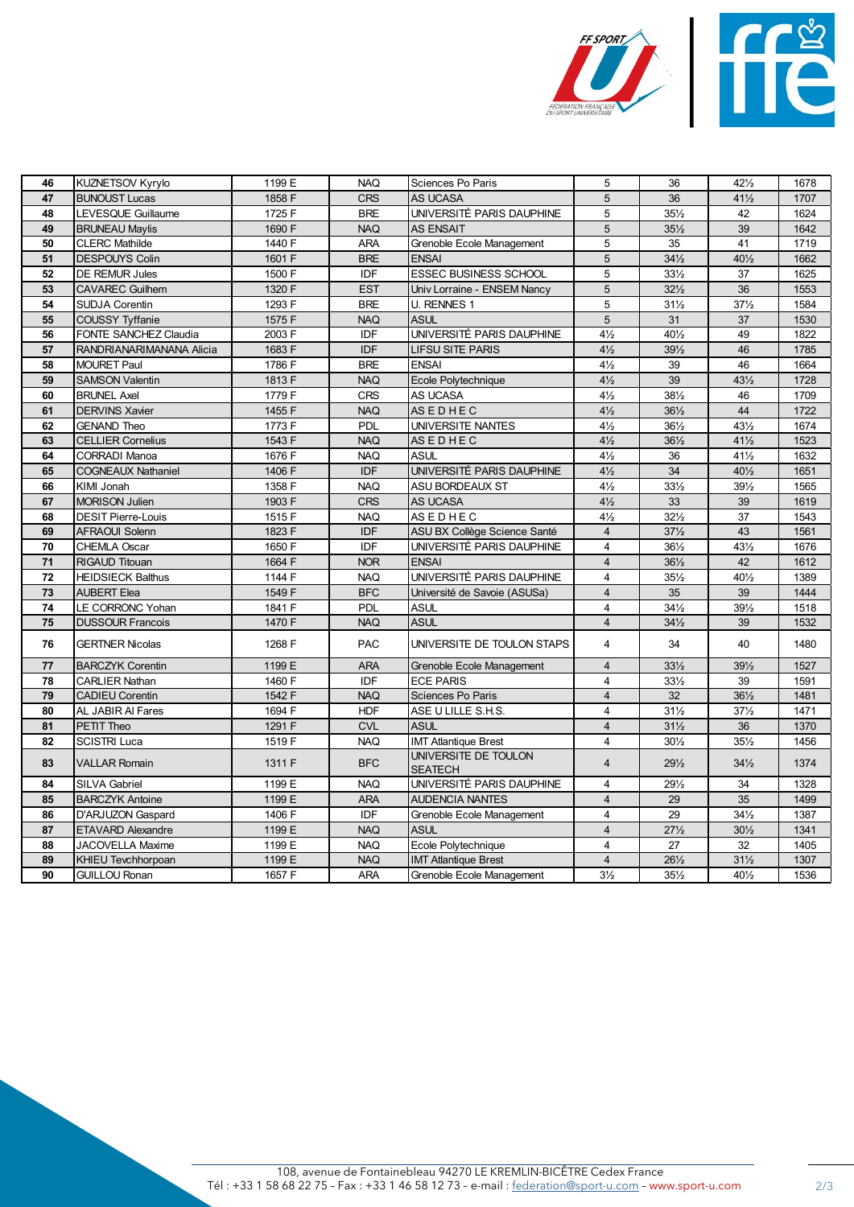

| 46         | <b>KUZNETSOV Kyrylo</b>   | 1199 E | <b>NAQ</b> | Sciences Po Paris                      | 5               | 36              | $42\frac{1}{2}$ | 1678 |
|------------|---------------------------|--------|------------|----------------------------------------|-----------------|-----------------|-----------------|------|
| 47         | <b>BUNOUST Lucas</b>      | 1858 F | <b>CRS</b> | AS UCASA                               | 5               | 36              | $41\frac{1}{2}$ | 1707 |
| 48         | <b>LEVESQUE Guillaume</b> | 1725 F | <b>BRE</b> | UNIVERSITÉ PARIS DAUPHINE              | 5               | $35\frac{1}{2}$ | 42              | 1624 |
| 49         | <b>BRUNEAU Maylis</b>     | 1690 F | <b>NAQ</b> | <b>AS ENSAIT</b>                       | 5               | $35\frac{1}{2}$ | 39              | 1642 |
| 50         | <b>CLERC Mathilde</b>     | 1440 F | <b>ARA</b> | Grenoble Ecole Management              | 5               | 35              | 41              | 1719 |
| 51         | <b>DESPOUYS Colin</b>     | 1601 F | <b>BRE</b> | <b>ENSAI</b>                           | $5\phantom{.0}$ | $34\frac{1}{2}$ | 401/2           | 1662 |
| 52         | DE REMUR Jules            | 1500 F | IDF        | <b>ESSEC BUSINESS SCHOOL</b>           | 5               | $33\frac{1}{2}$ | 37              | 1625 |
| 53         | <b>CAVAREC Guilhem</b>    | 1320 F | <b>EST</b> | Univ Lorraine - ENSEM Nancy            | $5\phantom{.0}$ | $32\frac{1}{2}$ | 36              | 1553 |
| 54         | <b>SUDJA Corentin</b>     | 1293 F | <b>BRE</b> | U. RENNES 1                            | 5               | $31\frac{1}{2}$ | $37\frac{1}{2}$ | 1584 |
| 55         | <b>COUSSY Tyffanie</b>    | 1575 F | <b>NAQ</b> | <b>ASUL</b>                            | 5               | 31              | 37              | 1530 |
| 56         | FONTE SANCHEZ Claudia     | 2003 F | IDF        | UNIVERSITÉ PARIS DAUPHINE              | $4\frac{1}{2}$  | 401/2           | 49              | 1822 |
| 57         | RANDRIANARIMANANA Alicia  | 1683 F | <b>IDF</b> | <b>LIFSU SITE PARIS</b>                | $4\frac{1}{2}$  | $39\frac{1}{2}$ | 46              | 1785 |
| 58         | <b>MOURET Paul</b>        | 1786 F | <b>BRE</b> | <b>ENSAI</b>                           | $4\frac{1}{2}$  | 39              | 46              | 1664 |
| 59         | <b>SAMSON Valentin</b>    | 1813 F | <b>NAQ</b> | Ecole Polytechnique                    | $4\frac{1}{2}$  | 39              | $43\frac{1}{2}$ | 1728 |
| 60         | <b>BRUNEL Axel</b>        | 1779 F | <b>CRS</b> | AS UCASA                               | $4\frac{1}{2}$  | 381/2           | 46              | 1709 |
| 61         | <b>DERVINS Xavier</b>     | 1455 F | <b>NAQ</b> | <b>ASEDHEC</b>                         | $4\frac{1}{2}$  | $36\frac{1}{2}$ | 44              | 1722 |
| 62         | <b>GENAND Theo</b>        | 1773 F | <b>PDL</b> | UNIVERSITE NANTES                      | $4\frac{1}{2}$  | 361/2           | $43\frac{1}{2}$ | 1674 |
| 63         | <b>CELLIER Cornelius</b>  | 1543 F | <b>NAQ</b> | <b>ASEDHEC</b>                         | $4\frac{1}{2}$  | $36\frac{1}{2}$ | $41\frac{1}{2}$ | 1523 |
| 64         | <b>CORRADI Manoa</b>      | 1676 F | <b>NAQ</b> | <b>ASUL</b>                            | $4\frac{1}{2}$  | 36              | 411/2           | 1632 |
| 65         | <b>COGNEAUX Nathaniel</b> | 1406 F | <b>IDF</b> | UNIVERSITÉ PARIS DAUPHINE              | $4\frac{1}{2}$  | 34              | 401/2           | 1651 |
| 66         | KIMI Jonah                | 1358 F | <b>NAQ</b> | <b>ASU BORDEAUX ST</b>                 | $4\frac{1}{2}$  | $33\frac{1}{2}$ | 391/2           | 1565 |
| 67         | <b>MORISON Julien</b>     | 1903 F | <b>CRS</b> | AS UCASA                               | $4\frac{1}{2}$  | 33              | 39              | 1619 |
| 68         | <b>DESIT Pierre-Louis</b> | 1515 F | <b>NAQ</b> | <b>ASEDHEC</b>                         | $4\frac{1}{2}$  | $32\frac{1}{2}$ | 37              | 1543 |
| 69         | <b>AFRAOUI Solenn</b>     | 1823 F | IDF        | ASU BX Collège Science Santé           | $\overline{4}$  | $37\frac{1}{2}$ | 43              | 1561 |
| 70         | CHEMLA Oscar              | 1650 F | IDF        | UNIVERSITÉ PARIS DAUPHINE              | $\overline{4}$  | $36\frac{1}{2}$ | 431/2           | 1676 |
| 71         | RIGAUD Titouan            | 1664 F | <b>NOR</b> | <b>ENSAI</b>                           | $\overline{4}$  | $36\frac{1}{2}$ | 42              | 1612 |
| ${\bf 72}$ | <b>HEIDSIECK Balthus</b>  | 1144 F | <b>NAQ</b> | UNIVERSITÉ PARIS DAUPHINE              | $\overline{4}$  | $35\frac{1}{2}$ | 401/2           | 1389 |
| 73         | <b>AUBERT Elea</b>        | 1549 F | <b>BFC</b> | Université de Savoie (ASUSa)           | $\overline{4}$  | 35              | 39              | 1444 |
| 74         | <b>LE CORRONC Yohan</b>   | 1841 F | PDL        | <b>ASUL</b>                            | $\overline{4}$  | $34\frac{1}{2}$ | $39\frac{1}{2}$ | 1518 |
| 75         | <b>DUSSOUR Francois</b>   | 1470 F | <b>NAQ</b> | <b>ASUL</b>                            | $\overline{4}$  | $34\frac{1}{2}$ | 39              | 1532 |
| 76         | <b>GERTNER Nicolas</b>    | 1268 F | <b>PAC</b> | UNIVERSITE DE TOULON STAPS             | $\overline{4}$  | 34              | 40              | 1480 |
| 77         | <b>BARCZYK Corentin</b>   | 1199 E | <b>ARA</b> | Grenoble Ecole Management              | $\overline{4}$  | $33\frac{1}{2}$ | 391/2           | 1527 |
| 78         | <b>CARLIER Nathan</b>     | 1460 F | IDF        | <b>ECE PARIS</b>                       | $\overline{4}$  | $33\frac{1}{2}$ | 39              | 1591 |
| 79         | <b>CADIEU Corentin</b>    | 1542 F | <b>NAQ</b> | Sciences Po Paris                      | $\overline{4}$  | 32              | $36\frac{1}{2}$ | 1481 |
| 80         | AL JABIR AI Fares         | 1694 F | <b>HDF</b> | ASE U LILLE S.H.S.                     | $\overline{4}$  | $31\frac{1}{2}$ | $37\frac{1}{2}$ | 1471 |
| 81         | PETIT Theo                | 1291 F | <b>CVL</b> | <b>ASUL</b>                            | $\overline{4}$  | $31\frac{1}{2}$ | 36              | 1370 |
| 82         | <b>SCISTRI Luca</b>       | 1519 F | <b>NAQ</b> | <b>IMT Atlantique Brest</b>            | $\overline{4}$  | $30\frac{1}{2}$ | $35\frac{1}{2}$ | 1456 |
| 83         | <b>VALLAR Romain</b>      | 1311 F | <b>BFC</b> | UNIVERSITE DE TOULON<br><b>SEATECH</b> | $\overline{4}$  | $29\frac{1}{2}$ | $34\frac{1}{2}$ | 1374 |
| 84         | <b>SILVA Gabriel</b>      | 1199 E | <b>NAQ</b> | UNIVERSITÉ PARIS DAUPHINE              | $\overline{4}$  | $29\frac{1}{2}$ | 34              | 1328 |
| 85         | <b>BARCZYK Antoine</b>    | 1199 E | <b>ARA</b> | <b>AUDENCIA NANTES</b>                 | $\overline{4}$  | 29              | 35              | 1499 |
| 86         | D'ARJUZON Gaspard         | 1406 F | IDF        | Grenoble Ecole Management              | $\overline{4}$  | 29              | $34\frac{1}{2}$ | 1387 |
| 87         | ETAVARD Alexandre         | 1199 E | <b>NAQ</b> | <b>ASUL</b>                            | $\overline{4}$  | $27\frac{1}{2}$ | $30\frac{1}{2}$ | 1341 |
| 88         | <b>JACOVELLA Maxime</b>   | 1199 E | <b>NAQ</b> | Ecole Polytechnique                    | $\overline{4}$  | 27              | 32              | 1405 |
| 89         | KHIEU Tevchhorpoan        | 1199 E | <b>NAQ</b> | <b>IMT Atlantique Brest</b>            | $\overline{4}$  | 261/2           | $31\frac{1}{2}$ | 1307 |
| 90         | <b>GUILLOU Ronan</b>      | 1657 F | ARA        | Grenoble Ecole Management              | $3\frac{1}{2}$  | $35\frac{1}{2}$ | 401/2           | 1536 |